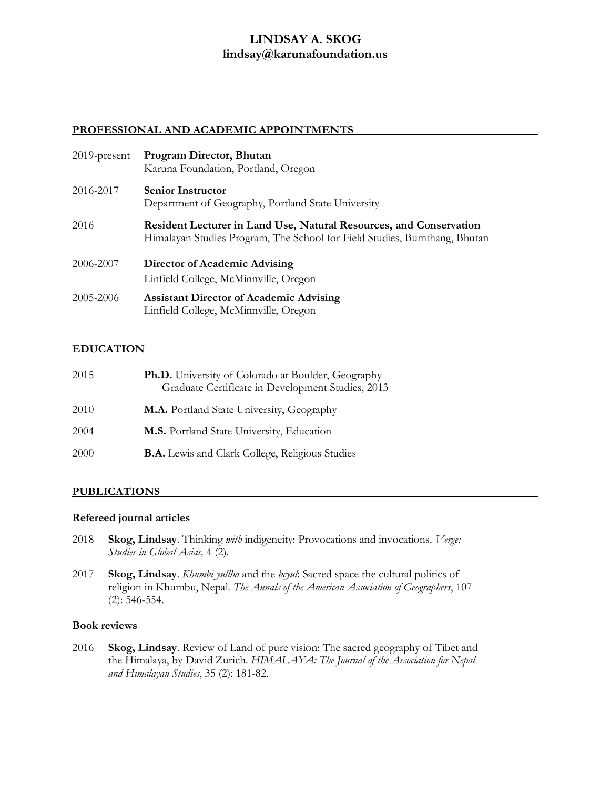## **LINDSAY A. SKOG lindsay@karunafoundation.us**

#### **PROFESSIONAL AND ACADEMIC APPOINTMENTS**

| $2019$ -present | Program Director, Bhutan<br>Karuna Foundation, Portland, Oregon                                                                                 |
|-----------------|-------------------------------------------------------------------------------------------------------------------------------------------------|
| 2016-2017       | <b>Senior Instructor</b><br>Department of Geography, Portland State University                                                                  |
| 2016            | Resident Lecturer in Land Use, Natural Resources, and Conservation<br>Himalayan Studies Program, The School for Field Studies, Bumthang, Bhutan |
| 2006-2007       | Director of Academic Advising<br>Linfield College, McMinnville, Oregon                                                                          |
| 2005-2006       | <b>Assistant Director of Academic Advising</b><br>Linfield College, McMinnville, Oregon                                                         |

#### **EDUCATION**

| 2015 | <b>Ph.D.</b> University of Colorado at Boulder, Geography<br>Graduate Certificate in Development Studies, 2013 |
|------|----------------------------------------------------------------------------------------------------------------|
| 2010 | M.A. Portland State University, Geography                                                                      |
| 2004 | M.S. Portland State University, Education                                                                      |
| 2000 | <b>B.A.</b> Lewis and Clark College, Religious Studies                                                         |

#### **PUBLICATIONS**

#### **Refereed journal articles**

- 2018 **Skog, Lindsay**. Thinking *with* indigeneity: Provocations and invocations. *Verge: Studies in Global Asias,* 4 (2).
- 2017 **Skog, Lindsay**. *Khumbi yullha* and the *beyul*: Sacred space the cultural politics of religion in Khumbu, Nepal. *The Annals of the American Association of Geographers*, 107 (2): 546-554.

#### **Book reviews**

2016 **Skog, Lindsay**. Review of Land of pure vision: The sacred geography of Tibet and the Himalaya, by David Zurich. *HIMALAYA: The Journal of the Association for Nepal and Himalayan Studies*, 35 (2): 181-82.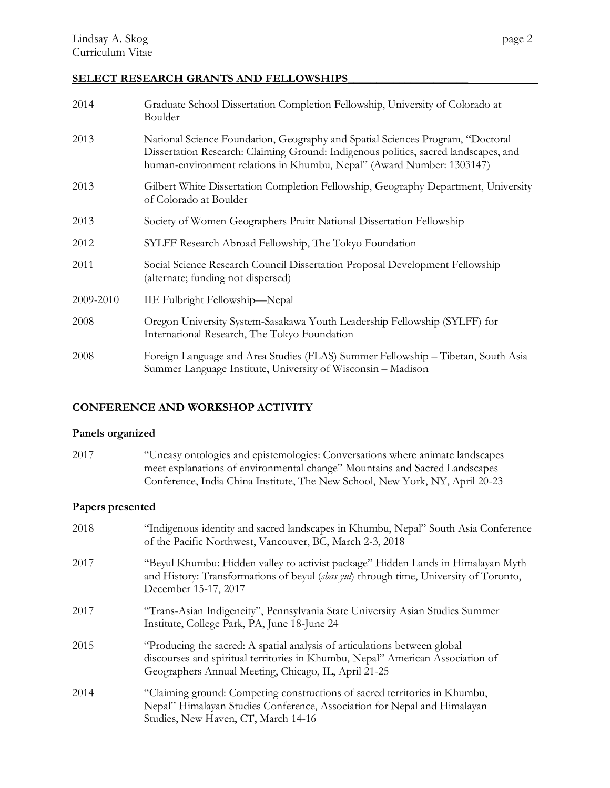# **SELECT RESEARCH GRANTS AND FELLOWSHIPS\_\_\_\_\_\_\_\_\_\_\_\_\_\_\_\_\_\_\_\_\_**

| 2014      | Graduate School Dissertation Completion Fellowship, University of Colorado at<br>Boulder                                                                                                                                                       |
|-----------|------------------------------------------------------------------------------------------------------------------------------------------------------------------------------------------------------------------------------------------------|
| 2013      | National Science Foundation, Geography and Spatial Sciences Program, "Doctoral<br>Dissertation Research: Claiming Ground: Indigenous politics, sacred landscapes, and<br>human-environment relations in Khumbu, Nepal" (Award Number: 1303147) |
| 2013      | Gilbert White Dissertation Completion Fellowship, Geography Department, University<br>of Colorado at Boulder                                                                                                                                   |
| 2013      | Society of Women Geographers Pruitt National Dissertation Fellowship                                                                                                                                                                           |
| 2012      | SYLFF Research Abroad Fellowship, The Tokyo Foundation                                                                                                                                                                                         |
| 2011      | Social Science Research Council Dissertation Proposal Development Fellowship<br>(alternate; funding not dispersed)                                                                                                                             |
| 2009-2010 | IIE Fulbright Fellowship-Nepal                                                                                                                                                                                                                 |
| 2008      | Oregon University System-Sasakawa Youth Leadership Fellowship (SYLFF) for<br>International Research, The Tokyo Foundation                                                                                                                      |
| 2008      | Foreign Language and Area Studies (FLAS) Summer Fellowship - Tibetan, South Asia<br>Summer Language Institute, University of Wisconsin - Madison                                                                                               |

## **CONFERENCE AND WORKSHOP ACTIVITY**

## **Panels organized**

| 2017 | "Uneasy ontologies and epistemologies: Conversations where animate landscapes |
|------|-------------------------------------------------------------------------------|
|      | meet explanations of environmental change" Mountains and Sacred Landscapes    |
|      | Conference, India China Institute, The New School, New York, NY, April 20-23  |

## **Papers presented**

| 2018 | "Indigenous identity and sacred landscapes in Khumbu, Nepal" South Asia Conference<br>of the Pacific Northwest, Vancouver, BC, March 2-3, 2018                                                                      |
|------|---------------------------------------------------------------------------------------------------------------------------------------------------------------------------------------------------------------------|
| 2017 | "Beyul Khumbu: Hidden valley to activist package" Hidden Lands in Himalayan Myth<br>and History: Transformations of beyul (sbas yul) through time, University of Toronto,<br>December 15-17, 2017                   |
| 2017 | "Trans-Asian Indigeneity", Pennsylvania State University Asian Studies Summer<br>Institute, College Park, PA, June 18-June 24                                                                                       |
| 2015 | "Producing the sacred: A spatial analysis of articulations between global<br>discourses and spiritual territories in Khumbu, Nepal" American Association of<br>Geographers Annual Meeting, Chicago, IL, April 21-25 |
| 2014 | "Claiming ground: Competing constructions of sacred territories in Khumbu,<br>Nepal" Himalayan Studies Conference, Association for Nepal and Himalayan<br>Studies, New Haven, CT, March 14-16                       |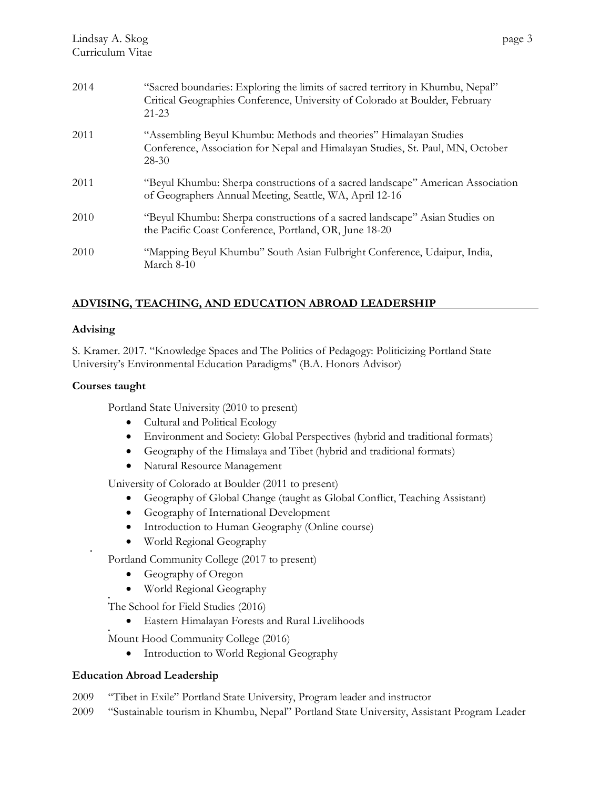| 2014 | "Sacred boundaries: Exploring the limits of sacred territory in Khumbu, Nepal"<br>Critical Geographies Conference, University of Colorado at Boulder, February<br>$21 - 23$ |
|------|-----------------------------------------------------------------------------------------------------------------------------------------------------------------------------|
| 2011 | "Assembling Beyul Khumbu: Methods and theories" Himalayan Studies<br>Conference, Association for Nepal and Himalayan Studies, St. Paul, MN, October<br>28-30                |
| 2011 | "Beyul Khumbu: Sherpa constructions of a sacred landscape" American Association<br>of Geographers Annual Meeting, Seattle, WA, April 12-16                                  |
|      |                                                                                                                                                                             |

| 2010 | "Beyul Khumbu: Sherpa constructions of a sacred landscape" Asian Studies on |
|------|-----------------------------------------------------------------------------|
|      | the Pacific Coast Conference, Portland, OR, June 18-20                      |
|      |                                                                             |

```
2010 "Mapping Beyul Khumbu" South Asian Fulbright Conference, Udaipur, India, 
 March 8-10
```
### **ADVISING, TEACHING, AND EDUCATION ABROAD LEADERSHIP**

### **Advising**

•

•

S. Kramer. 2017. "Knowledge Spaces and The Politics of Pedagogy: Politicizing Portland State University's Environmental Education Paradigms" (B.A. Honors Advisor)

### **Courses taught**

Portland State University (2010 to present)

- Cultural and Political Ecology
- Environment and Society: Global Perspectives (hybrid and traditional formats)
- Geography of the Himalaya and Tibet (hybrid and traditional formats)
- Natural Resource Management

University of Colorado at Boulder (2011 to present)

- Geography of Global Change (taught as Global Conflict, Teaching Assistant)
- Geography of International Development
- Introduction to Human Geography (Online course)
- World Regional Geography

Portland Community College (2017 to present)

- Geography of Oregon
- World Regional Geography

• The School for Field Studies (2016)

• Eastern Himalayan Forests and Rural Livelihoods

Mount Hood Community College (2016)

• Introduction to World Regional Geography

### **Education Abroad Leadership**

- 2009 "Tibet in Exile" Portland State University, Program leader and instructor
- 2009 "Sustainable tourism in Khumbu, Nepal" Portland State University, Assistant Program Leader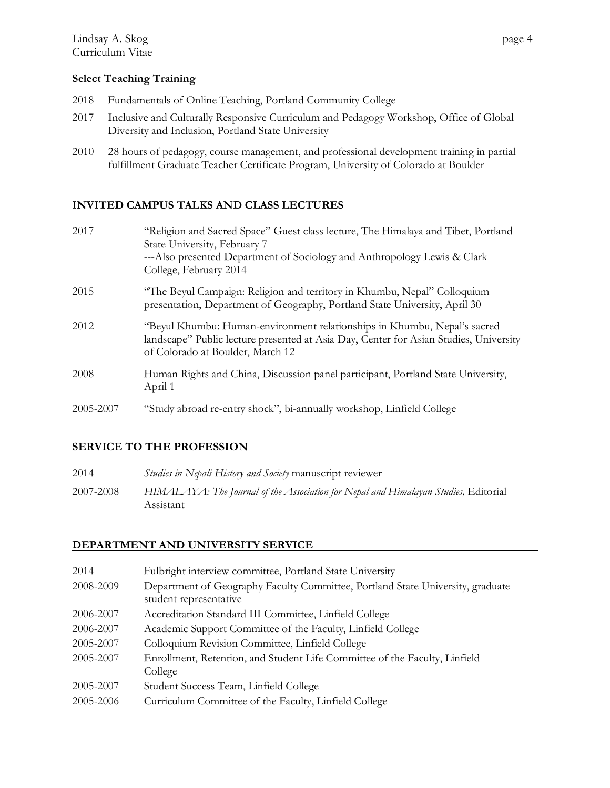### **Select Teaching Training**

- 2018 Fundamentals of Online Teaching, Portland Community College
- 2017 Inclusive and Culturally Responsive Curriculum and Pedagogy Workshop, Office of Global Diversity and Inclusion, Portland State University
- 2010 28 hours of pedagogy, course management, and professional development training in partial fulfillment Graduate Teacher Certificate Program, University of Colorado at Boulder

### **INVITED CAMPUS TALKS AND CLASS LECTURES**

| 2017      | "Religion and Sacred Space" Guest class lecture, The Himalaya and Tibet, Portland<br>State University, February 7<br>---Also presented Department of Sociology and Anthropology Lewis & Clark<br>College, February 2014 |
|-----------|-------------------------------------------------------------------------------------------------------------------------------------------------------------------------------------------------------------------------|
| 2015      | "The Beyul Campaign: Religion and territory in Khumbu, Nepal" Colloquium<br>presentation, Department of Geography, Portland State University, April 30                                                                  |
| 2012      | "Beyul Khumbu: Human-environment relationships in Khumbu, Nepal's sacred<br>landscape" Public lecture presented at Asia Day, Center for Asian Studies, University<br>of Colorado at Boulder, March 12                   |
| 2008      | Human Rights and China, Discussion panel participant, Portland State University,<br>April 1                                                                                                                             |
| 2005-2007 | "Study abroad re-entry shock", bi-annually workshop, Linfield College                                                                                                                                                   |

### **SERVICE TO THE PROFESSION**

| 2014      | Studies in Nepali History and Society manuscript reviewer                                        |
|-----------|--------------------------------------------------------------------------------------------------|
| 2007-2008 | HIMALAYA: The Journal of the Association for Nepal and Himalayan Studies, Editorial<br>Assistant |

### **DEPARTMENT AND UNIVERSITY SERVICE**

| 2014      | Fulbright interview committee, Portland State University                                                 |
|-----------|----------------------------------------------------------------------------------------------------------|
| 2008-2009 | Department of Geography Faculty Committee, Portland State University, graduate<br>student representative |
| 2006-2007 | Accreditation Standard III Committee, Linfield College                                                   |
| 2006-2007 | Academic Support Committee of the Faculty, Linfield College                                              |
| 2005-2007 | Colloquium Revision Committee, Linfield College                                                          |
| 2005-2007 | Enrollment, Retention, and Student Life Committee of the Faculty, Linfield<br>College                    |
| 2005-2007 | Student Success Team, Linfield College                                                                   |
| 2005-2006 | Curriculum Committee of the Faculty, Linfield College                                                    |